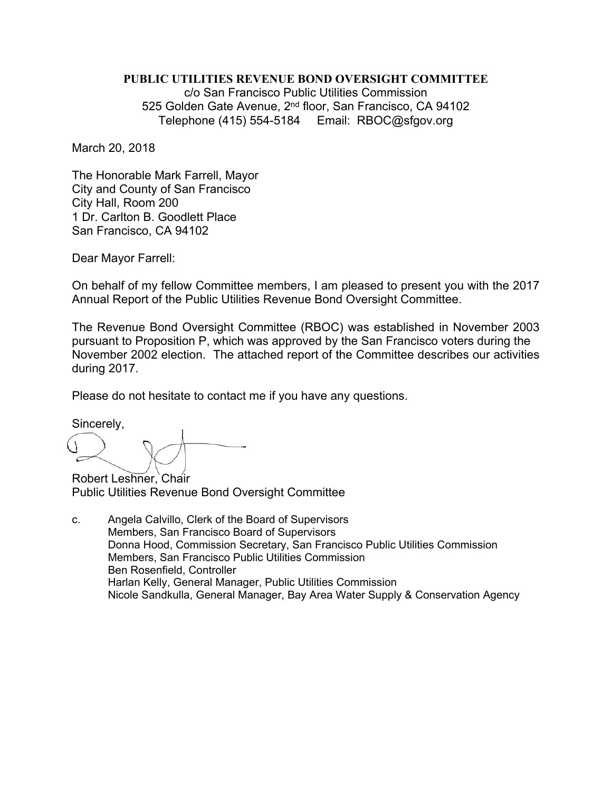### **PUBLIC UTILITIES REVENUE BOND OVERSIGHT COMMITTEE**

c/o San Francisco Public Utilities Commission 525 Golden Gate Avenue, 2nd floor, San Francisco, CA 94102 Telephone (415) 554-5184 Email: RBOC@sfgov.org

March 20, 2018

The Honorable Mark Farrell, Mayor City and County of San Francisco City Hall, Room 200 1 Dr. Carlton B. Goodlett Place San Francisco, CA 94102

Dear Mayor Farrell:

On behalf of my fellow Committee members, I am pleased to present you with the 2017 Annual Report of the Public Utilities Revenue Bond Oversight Committee.

The Revenue Bond Oversight Committee (RBOC) was established in November 2003 pursuant to Proposition P, which was approved by the San Francisco voters during the November 2002 election. The attached report of the Committee describes our activities during 2017.

Please do not hesitate to contact me if you have any questions.

Sincerely,

Robert Leshner, Chair Public Utilities Revenue Bond Oversight Committee

c. Angela Calvillo, Clerk of the Board of Supervisors Members, San Francisco Board of Supervisors Donna Hood, Commission Secretary, San Francisco Public Utilities Commission Members, San Francisco Public Utilities Commission Ben Rosenfield, Controller Harlan Kelly, General Manager, Public Utilities Commission Nicole Sandkulla, General Manager, Bay Area Water Supply & Conservation Agency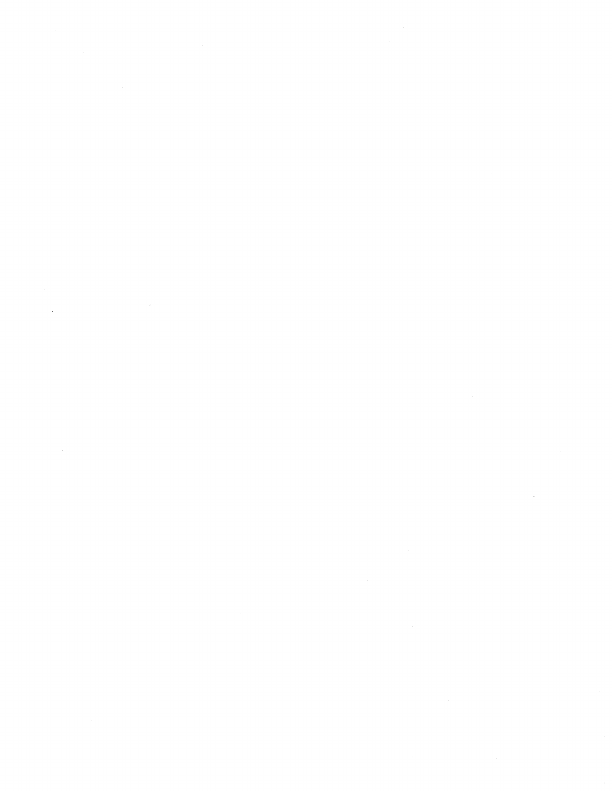$\label{eq:2.1} \left\langle \hat{E}_{\mu\nu} \right\rangle = \left\langle \hat{E}_{\mu\nu} \right\rangle \left\langle \hat{E}_{\mu\nu} \right\rangle$  $\label{eq:2.1} \frac{1}{\sqrt{2\pi}}\int_{\mathbb{R}^3}\frac{1}{\sqrt{2\pi}}\int_{\mathbb{R}^3}\frac{1}{\sqrt{2\pi}}\int_{\mathbb{R}^3}\frac{1}{\sqrt{2\pi}}\int_{\mathbb{R}^3}\frac{1}{\sqrt{2\pi}}\int_{\mathbb{R}^3}\frac{1}{\sqrt{2\pi}}\int_{\mathbb{R}^3}\frac{1}{\sqrt{2\pi}}\int_{\mathbb{R}^3}\frac{1}{\sqrt{2\pi}}\int_{\mathbb{R}^3}\frac{1}{\sqrt{2\pi}}\int_{\mathbb{R}^3}\frac{1$  $\label{eq:2.1} \mathcal{L}(\mathcal{L}^{\text{max}}_{\mathcal{L}}(\mathcal{L}^{\text{max}}_{\mathcal{L}}(\mathcal{L}^{\text{max}}_{\mathcal{L}}(\mathcal{L}^{\text{max}}_{\mathcal{L}^{\text{max}}_{\mathcal{L}}(\mathcal{L}^{\text{max}}_{\mathcal{L}^{\text{max}}_{\mathcal{L}^{\text{max}}_{\mathcal{L}^{\text{max}}_{\mathcal{L}^{\text{max}}_{\mathcal{L}^{\text{max}}_{\mathcal{L}^{\text{max}}_{\mathcal{L}^{\text{max}}_{\mathcal{L}^{\text{max}}$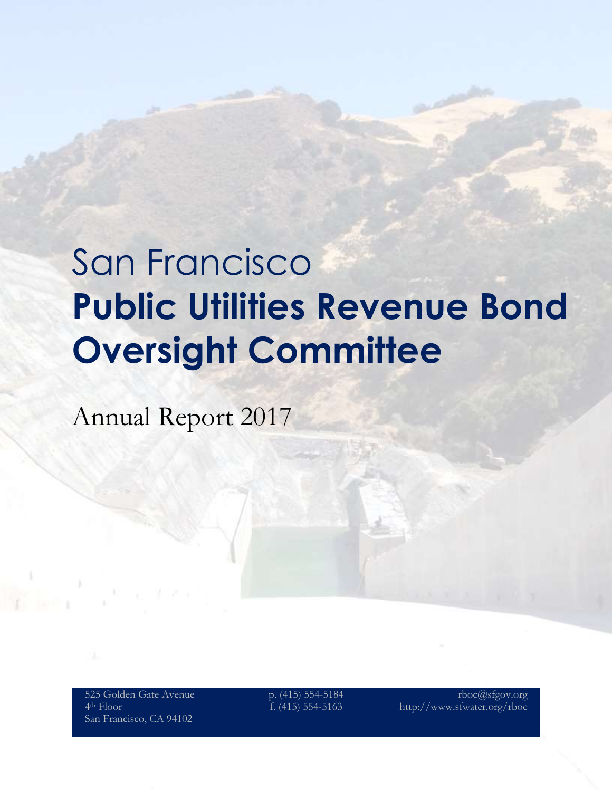# San Francisco **Public Utilities Revenue Bond Oversight Committee**

Annual Report 2017

525 Golden Gate Avenue 4th Floor San Francisco, CA 94102

p. (415) 554-5184 f. (415) 554-5163

rboc@sfgov.org http://www.sfwater.org/rboc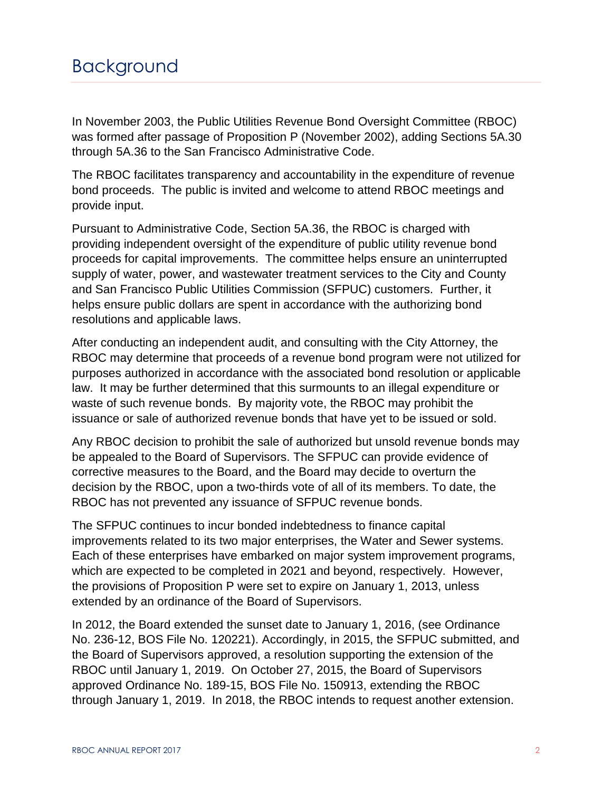In November 2003, the Public Utilities Revenue Bond Oversight Committee (RBOC) was formed after passage of Proposition P (November 2002), adding Sections 5A.30 through 5A.36 to the San Francisco Administrative Code.

The RBOC facilitates transparency and accountability in the expenditure of revenue bond proceeds. The public is invited and welcome to attend RBOC meetings and provide input.

Pursuant to Administrative Code, Section 5A.36, the RBOC is charged with providing independent oversight of the expenditure of public utility revenue bond proceeds for capital improvements. The committee helps ensure an uninterrupted supply of water, power, and wastewater treatment services to the City and County and San Francisco Public Utilities Commission (SFPUC) customers. Further, it helps ensure public dollars are spent in accordance with the authorizing bond resolutions and applicable laws.

After conducting an independent audit, and consulting with the City Attorney, the RBOC may determine that proceeds of a revenue bond program were not utilized for purposes authorized in accordance with the associated bond resolution or applicable law. It may be further determined that this surmounts to an illegal expenditure or waste of such revenue bonds. By majority vote, the RBOC may prohibit the issuance or sale of authorized revenue bonds that have yet to be issued or sold.

Any RBOC decision to prohibit the sale of authorized but unsold revenue bonds may be appealed to the Board of Supervisors. The SFPUC can provide evidence of corrective measures to the Board, and the Board may decide to overturn the decision by the RBOC, upon a two-thirds vote of all of its members. To date, the RBOC has not prevented any issuance of SFPUC revenue bonds.

The SFPUC continues to incur bonded indebtedness to finance capital improvements related to its two major enterprises, the Water and Sewer systems. Each of these enterprises have embarked on major system improvement programs, which are expected to be completed in 2021 and beyond, respectively. However, the provisions of Proposition P were set to expire on January 1, 2013, unless extended by an ordinance of the Board of Supervisors.

In 2012, the Board extended the sunset date to January 1, 2016, (see Ordinance No. 236-12, BOS File No. 120221). Accordingly, in 2015, the SFPUC submitted, and the Board of Supervisors approved, a resolution supporting the extension of the RBOC until January 1, 2019. On October 27, 2015, the Board of Supervisors approved Ordinance No. 189-15, BOS File No. 150913, extending the RBOC through January 1, 2019. In 2018, the RBOC intends to request another extension.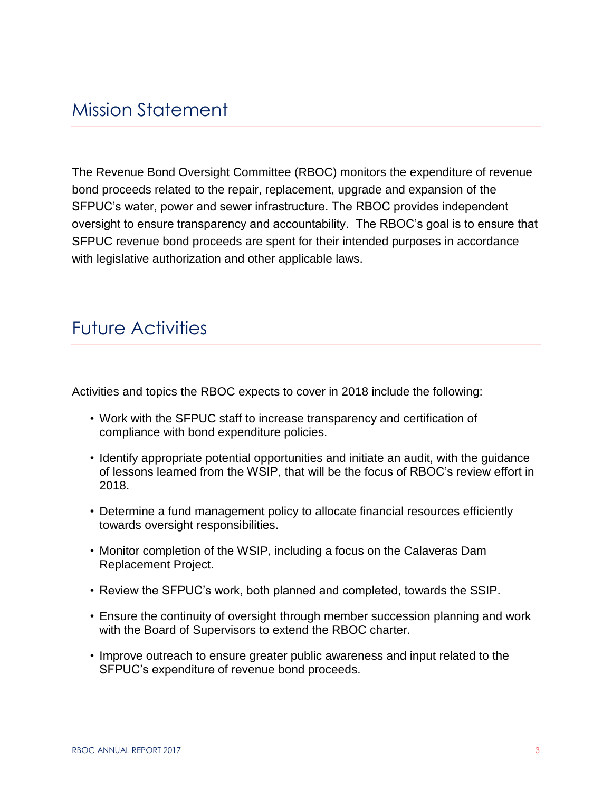# Mission Statement

The Revenue Bond Oversight Committee (RBOC) monitors the expenditure of revenue bond proceeds related to the repair, replacement, upgrade and expansion of the SFPUC's water, power and sewer infrastructure. The RBOC provides independent oversight to ensure transparency and accountability. The RBOC's goal is to ensure that SFPUC revenue bond proceeds are spent for their intended purposes in accordance with legislative authorization and other applicable laws.

# Future Activities

Activities and topics the RBOC expects to cover in 2018 include the following:

- Work with the SFPUC staff to increase transparency and certification of compliance with bond expenditure policies.
- Identify appropriate potential opportunities and initiate an audit, with the guidance of lessons learned from the WSIP, that will be the focus of RBOC's review effort in 2018.
- Determine a fund management policy to allocate financial resources efficiently towards oversight responsibilities.
- Monitor completion of the WSIP, including a focus on the Calaveras Dam Replacement Project.
- Review the SFPUC's work, both planned and completed, towards the SSIP.
- Ensure the continuity of oversight through member succession planning and work with the Board of Supervisors to extend the RBOC charter.
- Improve outreach to ensure greater public awareness and input related to the SFPUC's expenditure of revenue bond proceeds.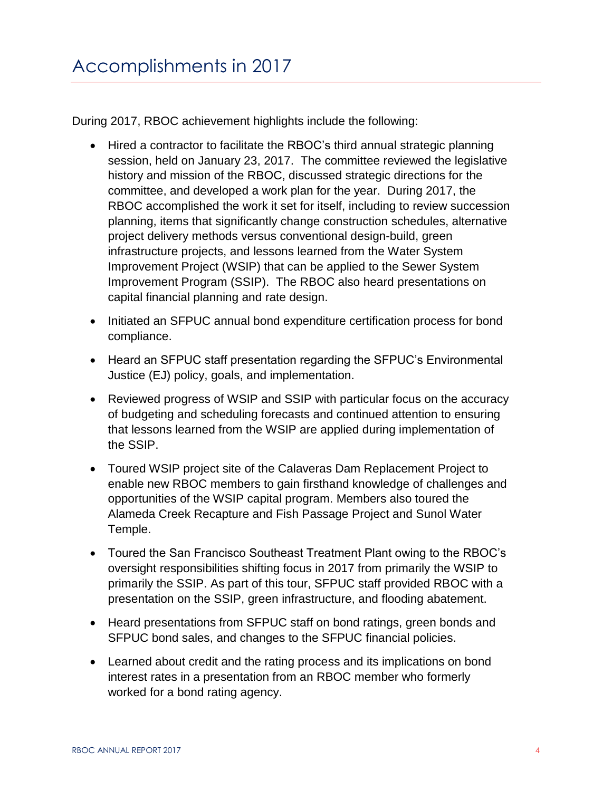During 2017, RBOC achievement highlights include the following:

- Hired a contractor to facilitate the RBOC's third annual strategic planning session, held on January 23, 2017. The committee reviewed the legislative history and mission of the RBOC, discussed strategic directions for the committee, and developed a work plan for the year. During 2017, the RBOC accomplished the work it set for itself, including to review succession planning, items that significantly change construction schedules, alternative project delivery methods versus conventional design-build, green infrastructure projects, and lessons learned from the Water System Improvement Project (WSIP) that can be applied to the Sewer System Improvement Program (SSIP). The RBOC also heard presentations on capital financial planning and rate design.
- Initiated an SFPUC annual bond expenditure certification process for bond compliance.
- Heard an SFPUC staff presentation regarding the SFPUC's Environmental Justice (EJ) policy, goals, and implementation.
- Reviewed progress of WSIP and SSIP with particular focus on the accuracy of budgeting and scheduling forecasts and continued attention to ensuring that lessons learned from the WSIP are applied during implementation of the SSIP.
- Toured WSIP project site of the Calaveras Dam Replacement Project to enable new RBOC members to gain firsthand knowledge of challenges and opportunities of the WSIP capital program. Members also toured the Alameda Creek Recapture and Fish Passage Project and Sunol Water Temple.
- Toured the San Francisco Southeast Treatment Plant owing to the RBOC's oversight responsibilities shifting focus in 2017 from primarily the WSIP to primarily the SSIP. As part of this tour, SFPUC staff provided RBOC with a presentation on the SSIP, green infrastructure, and flooding abatement.
- Heard presentations from SFPUC staff on bond ratings, green bonds and SFPUC bond sales, and changes to the SFPUC financial policies.
- Learned about credit and the rating process and its implications on bond interest rates in a presentation from an RBOC member who formerly worked for a bond rating agency.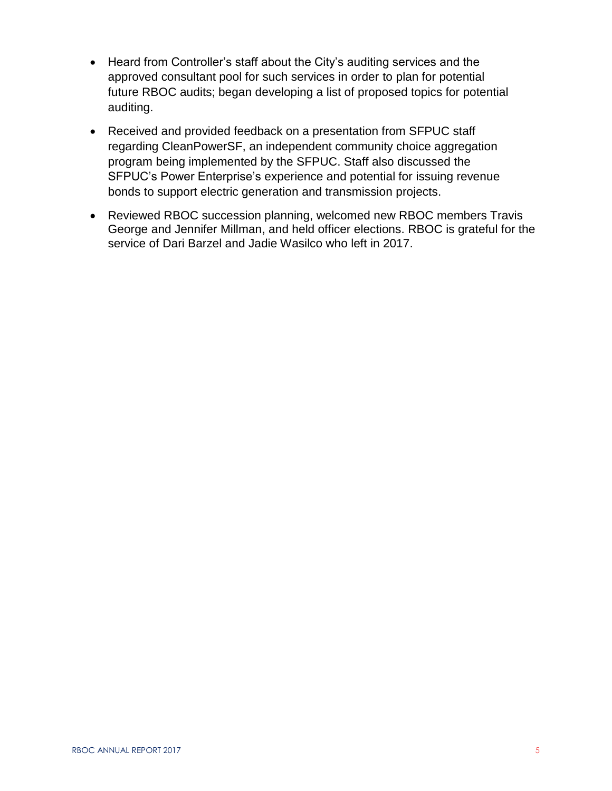- Heard from Controller's staff about the City's auditing services and the approved consultant pool for such services in order to plan for potential future RBOC audits; began developing a list of proposed topics for potential auditing.
- Received and provided feedback on a presentation from SFPUC staff regarding CleanPowerSF, an independent community choice aggregation program being implemented by the SFPUC. Staff also discussed the SFPUC's Power Enterprise's experience and potential for issuing revenue bonds to support electric generation and transmission projects.
- Reviewed RBOC succession planning, welcomed new RBOC members Travis George and Jennifer Millman, and held officer elections. RBOC is grateful for the service of Dari Barzel and Jadie Wasilco who left in 2017.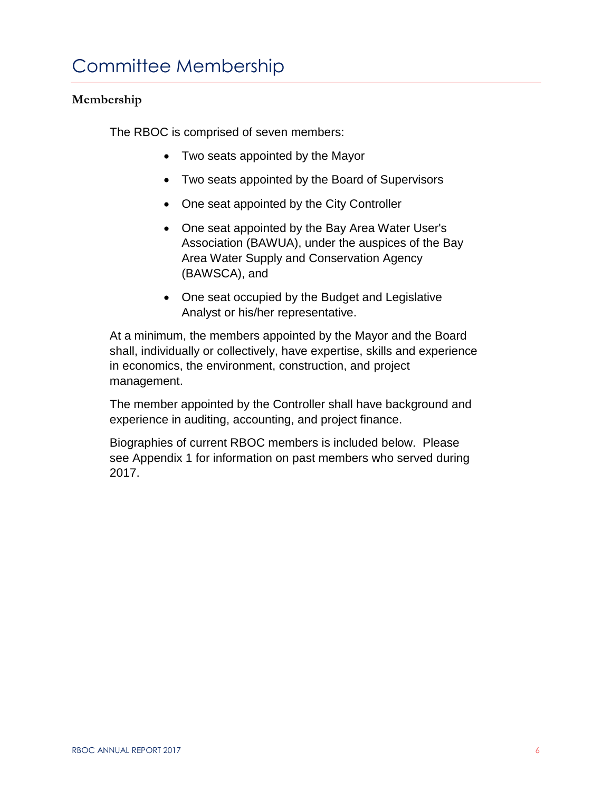### **Membership**

The RBOC is comprised of seven members:

- Two seats appointed by the Mayor
- Two seats appointed by the Board of Supervisors
- One seat appointed by the City Controller
- One seat appointed by the Bay Area Water User's Association (BAWUA), under the auspices of the Bay Area Water Supply and Conservation Agency (BAWSCA), and
- One seat occupied by the Budget and Legislative Analyst or his/her representative.

At a minimum, the members appointed by the Mayor and the Board shall, individually or collectively, have expertise, skills and experience in economics, the environment, construction, and project management.

The member appointed by the Controller shall have background and experience in auditing, accounting, and project finance.

Biographies of current RBOC members is included below. Please see Appendix 1 for information on past members who served during 2017.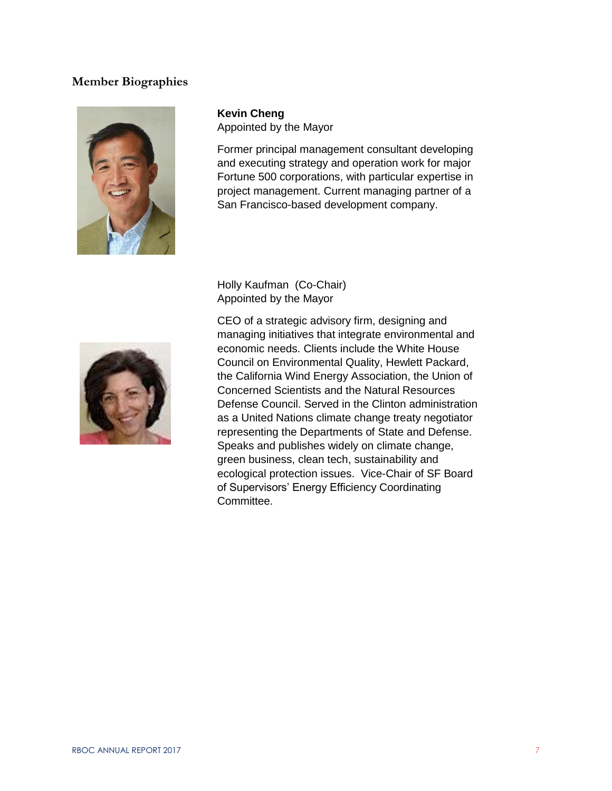### **Member Biographies**



**Kevin Cheng** Appointed by the Mayor

Former principal management consultant developing and executing strategy and operation work for major Fortune 500 corporations, with particular expertise in project management. Current managing partner of a San Francisco-based development company.

Holly Kaufman (Co-Chair) Appointed by the Mayor



CEO of a strategic advisory firm, designing and managing initiatives that integrate environmental and economic needs. Clients include the White House Council on Environmental Quality, Hewlett Packard, the California Wind Energy Association, the Union of Concerned Scientists and the Natural Resources Defense Council. Served in the Clinton administration as a United Nations climate change treaty negotiator representing the Departments of State and Defense. Speaks and publishes widely on climate change, green business, clean tech, sustainability and ecological protection issues. Vice-Chair of SF Board of Supervisors' Energy Efficiency Coordinating Committee.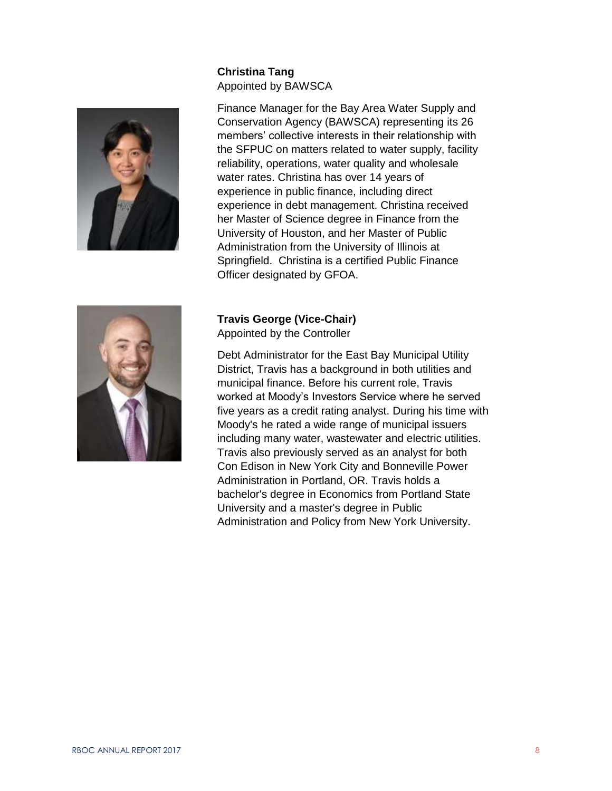### **Christina Tang**  Appointed by BAWSCA



Finance Manager for the Bay Area Water Supply and Conservation Agency (BAWSCA) representing its 26 members' collective interests in their relationship with the SFPUC on matters related to water supply, facility reliability, operations, water quality and wholesale water rates. Christina has over 14 years of experience in public finance, including direct experience in debt management. Christina received her Master of Science degree in Finance from the University of Houston, and her Master of Public Administration from the University of Illinois at Springfield. Christina is a certified Public Finance Officer designated by GFOA.



**Travis George (Vice-Chair)** Appointed by the Controller

Debt Administrator for the East Bay Municipal Utility District, Travis has a background in both utilities and municipal finance. Before his current role, Travis worked at Moody's Investors Service where he served five years as a credit rating analyst. During his time with Moody's he rated a wide range of municipal issuers including many water, wastewater and electric utilities. Travis also previously served as an analyst for both Con Edison in New York City and Bonneville Power Administration in Portland, OR. Travis holds a bachelor's degree in Economics from Portland State University and a master's degree in Public Administration and Policy from New York University.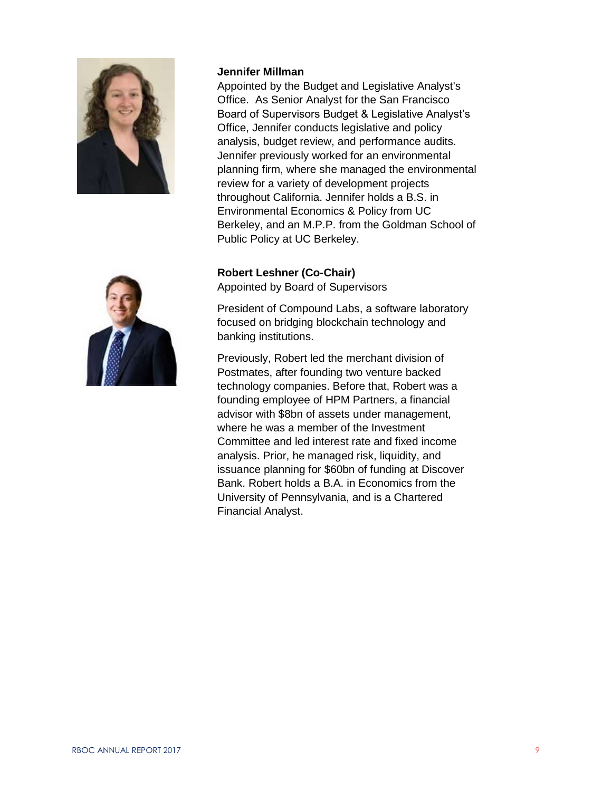

#### **Jennifer Millman**

Appointed by the Budget and Legislative Analyst's Office. As Senior Analyst for the San Francisco Board of Supervisors Budget & Legislative Analyst's Office, Jennifer conducts legislative and policy analysis, budget review, and performance audits. Jennifer previously worked for an environmental planning firm, where she managed the environmental review for a variety of development projects throughout California. Jennifer holds a B.S. in Environmental Economics & Policy from UC Berkeley, and an M.P.P. from the Goldman School of Public Policy at UC Berkeley.

### **Robert Leshner (Co-Chair)**

Appointed by Board of Supervisors

President of Compound Labs, a software laboratory focused on bridging blockchain technology and banking institutions.

Previously, Robert led the merchant division of Postmates, after founding two venture backed technology companies. Before that, Robert was a founding employee of HPM Partners, a financial advisor with \$8bn of assets under management, where he was a member of the Investment Committee and led interest rate and fixed income analysis. Prior, he managed risk, liquidity, and issuance planning for \$60bn of funding at Discover Bank. Robert holds a B.A. in Economics from the University of Pennsylvania, and is a Chartered Financial Analyst.

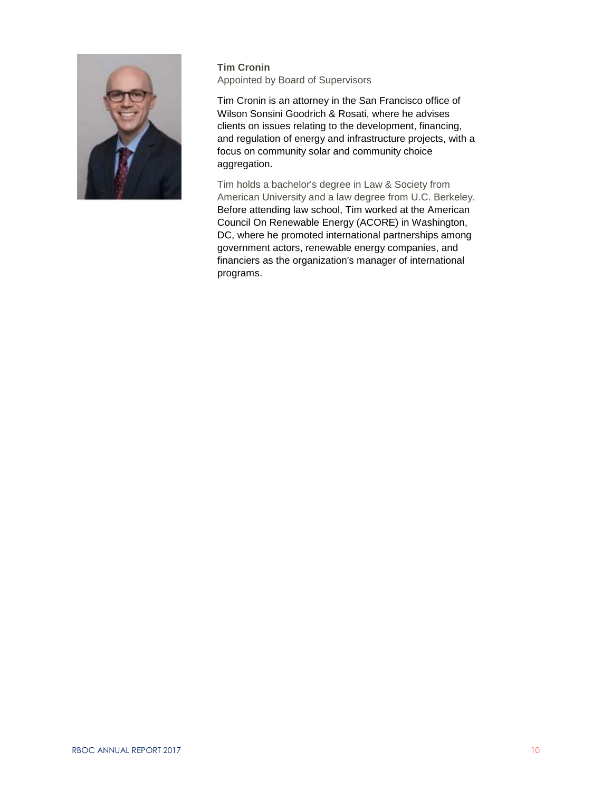

**Tim Cronin**  Appointed by Board of Supervisors

Tim Cronin is an attorney in the San Francisco office of Wilson Sonsini Goodrich & Rosati, where he advises clients on issues relating to the development, financing, and regulation of energy and infrastructure projects, with a focus on community solar and community choice aggregation.

Tim holds a bachelor's degree in Law & Society from American University and a law degree from U.C. Berkeley. Before attending law school, Tim worked at the American Council On Renewable Energy (ACORE) in Washington, DC, where he promoted international partnerships among government actors, renewable energy companies, and financiers as the organization's manager of international programs.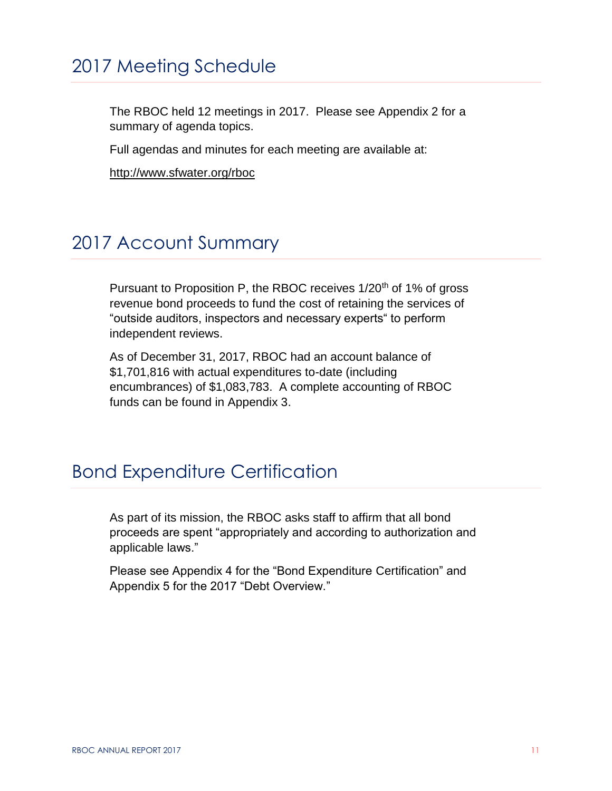# 2017 Meeting Schedule

The RBOC held 12 meetings in 2017. Please see Appendix 2 for a summary of agenda topics.

Full agendas and minutes for each meeting are available at:

<http://www.sfwater.org/rboc>

## 2017 Account Summary

Pursuant to Proposition P, the RBOC receives 1/20<sup>th</sup> of 1% of gross revenue bond proceeds to fund the cost of retaining the services of "outside auditors, inspectors and necessary experts" to perform independent reviews.

As of December 31, 2017, RBOC had an account balance of \$1,701,816 with actual expenditures to-date (including encumbrances) of \$1,083,783. A complete accounting of RBOC funds can be found in Appendix 3.

### Bond Expenditure Certification

As part of its mission, the RBOC asks staff to affirm that all bond proceeds are spent "appropriately and according to authorization and applicable laws."

Please see Appendix 4 for the "Bond Expenditure Certification" and Appendix 5 for the 2017 "Debt Overview."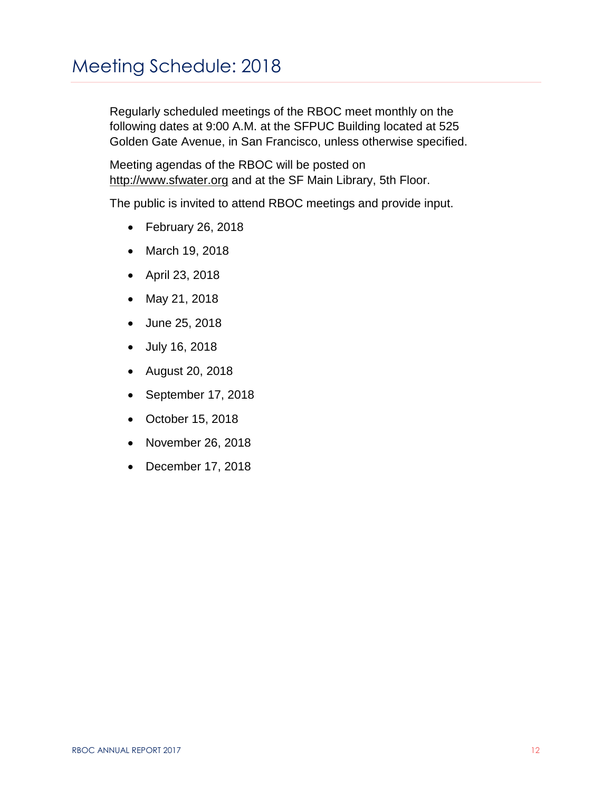Regularly scheduled meetings of the RBOC meet monthly on the following dates at 9:00 A.M. at the SFPUC Building located at 525 Golden Gate Avenue, in San Francisco, unless otherwise specified.

Meeting agendas of the RBOC will be posted on [http://www.sfwater.org](http://www.sfwater.org/) and at the SF Main Library, 5th Floor.

The public is invited to attend RBOC meetings and provide input.

- $\bullet$  February 26, 2018
- March 19, 2018
- April 23, 2018
- May 21, 2018
- June 25, 2018
- July 16, 2018
- August 20, 2018
- September 17, 2018
- October 15, 2018
- November 26, 2018
- December 17, 2018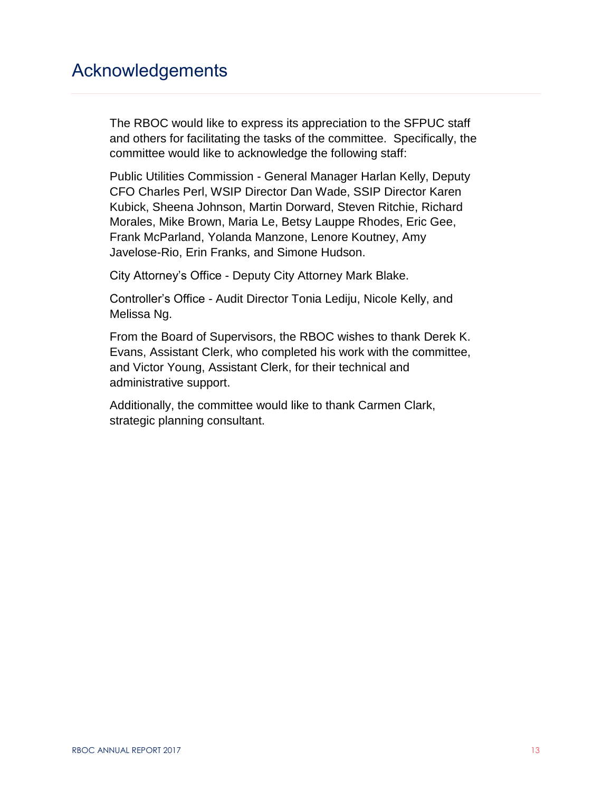## Acknowledgements

The RBOC would like to express its appreciation to the SFPUC staff and others for facilitating the tasks of the committee. Specifically, the committee would like to acknowledge the following staff:

Public Utilities Commission - General Manager Harlan Kelly, Deputy CFO Charles Perl, WSIP Director Dan Wade, SSIP Director Karen Kubick, Sheena Johnson, Martin Dorward, Steven Ritchie, Richard Morales, Mike Brown, Maria Le, Betsy Lauppe Rhodes, Eric Gee, Frank McParland, Yolanda Manzone, Lenore Koutney, Amy Javelose-Rio, Erin Franks, and Simone Hudson.

City Attorney's Office - Deputy City Attorney Mark Blake.

Controller's Office - Audit Director Tonia Lediju, Nicole Kelly, and Melissa Ng.

From the Board of Supervisors, the RBOC wishes to thank Derek K. Evans, Assistant Clerk, who completed his work with the committee, and Victor Young, Assistant Clerk, for their technical and administrative support.

Additionally, the committee would like to thank Carmen Clark, strategic planning consultant.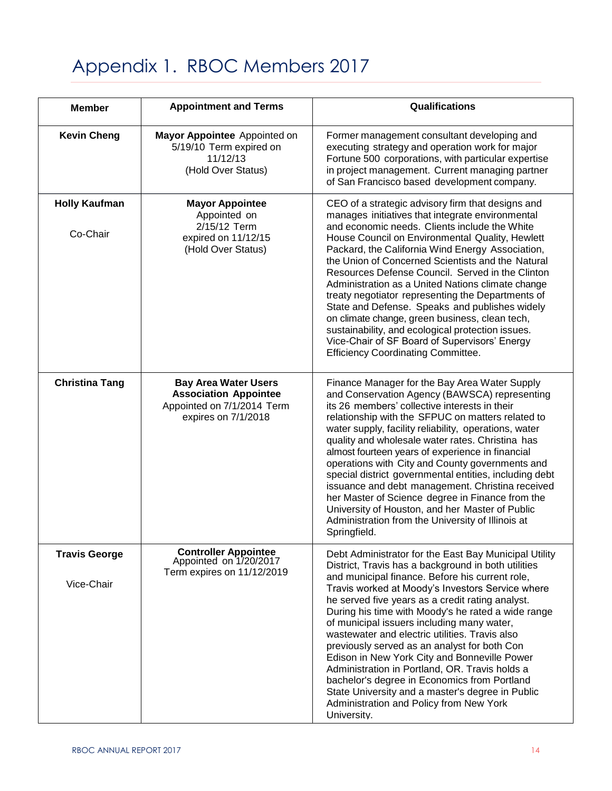# Appendix 1. RBOC Members 2017

| <b>Member</b>                      | <b>Appointment and Terms</b>                                                                                     | Qualifications                                                                                                                                                                                                                                                                                                                                                                                                                                                                                                                                                                                                                                                                                                                          |
|------------------------------------|------------------------------------------------------------------------------------------------------------------|-----------------------------------------------------------------------------------------------------------------------------------------------------------------------------------------------------------------------------------------------------------------------------------------------------------------------------------------------------------------------------------------------------------------------------------------------------------------------------------------------------------------------------------------------------------------------------------------------------------------------------------------------------------------------------------------------------------------------------------------|
| <b>Kevin Cheng</b>                 | Mayor Appointee Appointed on<br>5/19/10 Term expired on<br>11/12/13<br>(Hold Over Status)                        | Former management consultant developing and<br>executing strategy and operation work for major<br>Fortune 500 corporations, with particular expertise<br>in project management. Current managing partner<br>of San Francisco based development company.                                                                                                                                                                                                                                                                                                                                                                                                                                                                                 |
| <b>Holly Kaufman</b><br>Co-Chair   | <b>Mayor Appointee</b><br>Appointed on<br>2/15/12 Term<br>expired on 11/12/15<br>(Hold Over Status)              | CEO of a strategic advisory firm that designs and<br>manages initiatives that integrate environmental<br>and economic needs. Clients include the White<br>House Council on Environmental Quality, Hewlett<br>Packard, the California Wind Energy Association,<br>the Union of Concerned Scientists and the Natural<br>Resources Defense Council. Served in the Clinton<br>Administration as a United Nations climate change<br>treaty negotiator representing the Departments of<br>State and Defense. Speaks and publishes widely<br>on climate change, green business, clean tech,<br>sustainability, and ecological protection issues.<br>Vice-Chair of SF Board of Supervisors' Energy<br><b>Efficiency Coordinating Committee.</b> |
| <b>Christina Tang</b>              | <b>Bay Area Water Users</b><br><b>Association Appointee</b><br>Appointed on 7/1/2014 Term<br>expires on 7/1/2018 | Finance Manager for the Bay Area Water Supply<br>and Conservation Agency (BAWSCA) representing<br>its 26 members' collective interests in their<br>relationship with the SFPUC on matters related to<br>water supply, facility reliability, operations, water<br>quality and wholesale water rates. Christina has<br>almost fourteen years of experience in financial<br>operations with City and County governments and<br>special district governmental entities, including debt<br>issuance and debt management. Christina received<br>her Master of Science degree in Finance from the<br>University of Houston, and her Master of Public<br>Administration from the University of Illinois at<br>Springfield.                      |
| <b>Travis George</b><br>Vice-Chair | <b>Controller Appointee</b><br>Appointed on 1/20/2017<br>Term expires on 11/12/2019                              | Debt Administrator for the East Bay Municipal Utility<br>District, Travis has a background in both utilities<br>and municipal finance. Before his current role,<br>Travis worked at Moody's Investors Service where<br>he served five years as a credit rating analyst.<br>During his time with Moody's he rated a wide range<br>of municipal issuers including many water,<br>wastewater and electric utilities. Travis also<br>previously served as an analyst for both Con                                                                                                                                                                                                                                                           |
|                                    |                                                                                                                  | Edison in New York City and Bonneville Power<br>Administration in Portland, OR. Travis holds a<br>bachelor's degree in Economics from Portland<br>State University and a master's degree in Public<br>Administration and Policy from New York<br>University.                                                                                                                                                                                                                                                                                                                                                                                                                                                                            |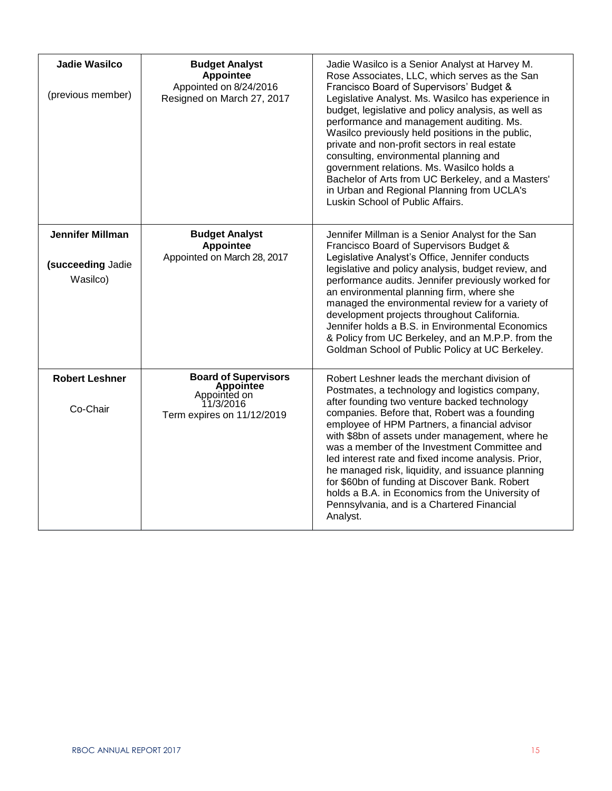| <b>Jadie Wasilco</b><br>(previous member)                | <b>Budget Analyst</b><br><b>Appointee</b><br>Appointed on 8/24/2016<br>Resigned on March 27, 2017   | Jadie Wasilco is a Senior Analyst at Harvey M.<br>Rose Associates, LLC, which serves as the San<br>Francisco Board of Supervisors' Budget &<br>Legislative Analyst. Ms. Wasilco has experience in<br>budget, legislative and policy analysis, as well as<br>performance and management auditing. Ms.<br>Wasilco previously held positions in the public,<br>private and non-profit sectors in real estate<br>consulting, environmental planning and<br>government relations. Ms. Wasilco holds a<br>Bachelor of Arts from UC Berkeley, and a Masters'<br>in Urban and Regional Planning from UCLA's<br>Luskin School of Public Affairs. |
|----------------------------------------------------------|-----------------------------------------------------------------------------------------------------|-----------------------------------------------------------------------------------------------------------------------------------------------------------------------------------------------------------------------------------------------------------------------------------------------------------------------------------------------------------------------------------------------------------------------------------------------------------------------------------------------------------------------------------------------------------------------------------------------------------------------------------------|
| <b>Jennifer Millman</b><br>(succeeding Jadie<br>Wasilco) | <b>Budget Analyst</b><br><b>Appointee</b><br>Appointed on March 28, 2017                            | Jennifer Millman is a Senior Analyst for the San<br>Francisco Board of Supervisors Budget &<br>Legislative Analyst's Office, Jennifer conducts<br>legislative and policy analysis, budget review, and<br>performance audits. Jennifer previously worked for<br>an environmental planning firm, where she<br>managed the environmental review for a variety of<br>development projects throughout California.<br>Jennifer holds a B.S. in Environmental Economics<br>& Policy from UC Berkeley, and an M.P.P. from the<br>Goldman School of Public Policy at UC Berkeley.                                                                |
| <b>Robert Leshner</b><br>Co-Chair                        | <b>Board of Supervisors</b><br>Appointee<br>Appointed on<br>11/3/2016<br>Term expires on 11/12/2019 | Robert Leshner leads the merchant division of<br>Postmates, a technology and logistics company,<br>after founding two venture backed technology<br>companies. Before that, Robert was a founding<br>employee of HPM Partners, a financial advisor<br>with \$8bn of assets under management, where he<br>was a member of the Investment Committee and<br>led interest rate and fixed income analysis. Prior,<br>he managed risk, liquidity, and issuance planning<br>for \$60bn of funding at Discover Bank. Robert<br>holds a B.A. in Economics from the University of<br>Pennsylvania, and is a Chartered Financial<br>Analyst.        |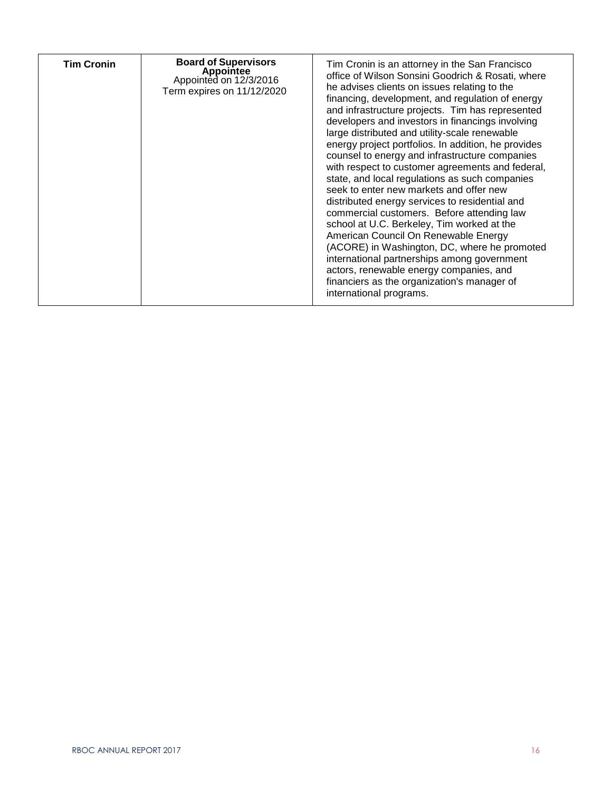| <b>Tim Cronin</b> | <b>Board of Supervisors</b><br>Appointee<br>Appointed on 12/3/2016<br>Term expires on 11/12/2020 | Tim Cronin is an attorney in the San Francisco<br>office of Wilson Sonsini Goodrich & Rosati, where<br>he advises clients on issues relating to the<br>financing, development, and regulation of energy<br>and infrastructure projects. Tim has represented<br>developers and investors in financings involving<br>large distributed and utility-scale renewable<br>energy project portfolios. In addition, he provides<br>counsel to energy and infrastructure companies<br>with respect to customer agreements and federal,<br>state, and local regulations as such companies<br>seek to enter new markets and offer new<br>distributed energy services to residential and<br>commercial customers. Before attending law<br>school at U.C. Berkeley, Tim worked at the<br>American Council On Renewable Energy<br>(ACORE) in Washington, DC, where he promoted<br>international partnerships among government<br>actors, renewable energy companies, and<br>financiers as the organization's manager of<br>international programs. |
|-------------------|--------------------------------------------------------------------------------------------------|--------------------------------------------------------------------------------------------------------------------------------------------------------------------------------------------------------------------------------------------------------------------------------------------------------------------------------------------------------------------------------------------------------------------------------------------------------------------------------------------------------------------------------------------------------------------------------------------------------------------------------------------------------------------------------------------------------------------------------------------------------------------------------------------------------------------------------------------------------------------------------------------------------------------------------------------------------------------------------------------------------------------------------------|
|-------------------|--------------------------------------------------------------------------------------------------|--------------------------------------------------------------------------------------------------------------------------------------------------------------------------------------------------------------------------------------------------------------------------------------------------------------------------------------------------------------------------------------------------------------------------------------------------------------------------------------------------------------------------------------------------------------------------------------------------------------------------------------------------------------------------------------------------------------------------------------------------------------------------------------------------------------------------------------------------------------------------------------------------------------------------------------------------------------------------------------------------------------------------------------|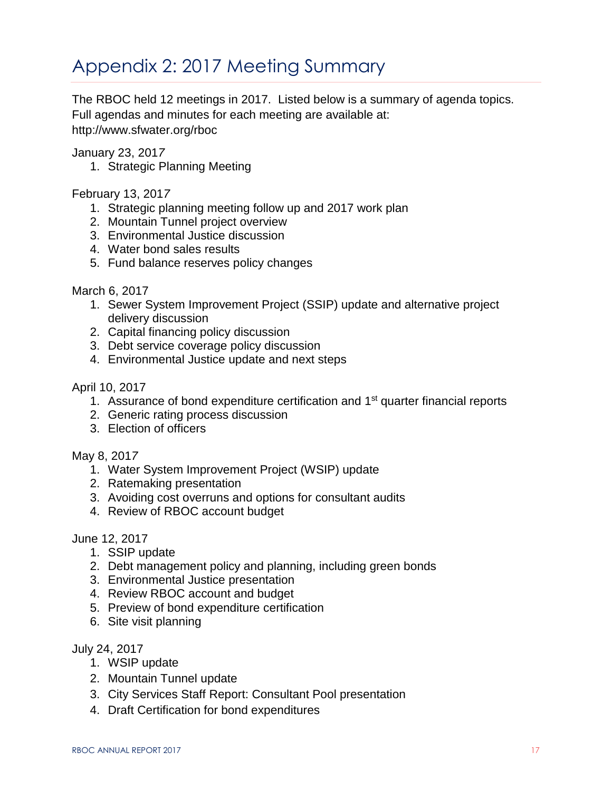# Appendix 2: 2017 Meeting Summary

The RBOC held 12 meetings in 2017. Listed below is a summary of agenda topics. Full agendas and minutes for each meeting are available at: http://www.sfwater.org/rboc

January 23, 201*7* 

1. Strategic Planning Meeting

February 13, 201*7* 

- 1. Strategic planning meeting follow up and 2017 work plan
- 2. Mountain Tunnel project overview
- 3. Environmental Justice discussion
- 4. Water bond sales results
- 5. Fund balance reserves policy changes

March 6, 2017

- 1. Sewer System Improvement Project (SSIP) update and alternative project delivery discussion
- 2. Capital financing policy discussion
- 3. Debt service coverage policy discussion
- 4. Environmental Justice update and next steps

### April 10, 2017

- 1. Assurance of bond expenditure certification and 1<sup>st</sup> quarter financial reports
- 2. Generic rating process discussion
- 3. Election of officers

### May 8, 201*7*

- 1. Water System Improvement Project (WSIP) update
- 2. Ratemaking presentation
- 3. Avoiding cost overruns and options for consultant audits
- 4. Review of RBOC account budget

### June 12, 2017

- 1. SSIP update
- 2. Debt management policy and planning, including green bonds
- 3. Environmental Justice presentation
- 4. Review RBOC account and budget
- 5. Preview of bond expenditure certification
- 6. Site visit planning

### July 24, 2017

- 1. WSIP update
- 2. Mountain Tunnel update
- 3. City Services Staff Report: Consultant Pool presentation
- 4. Draft Certification for bond expenditures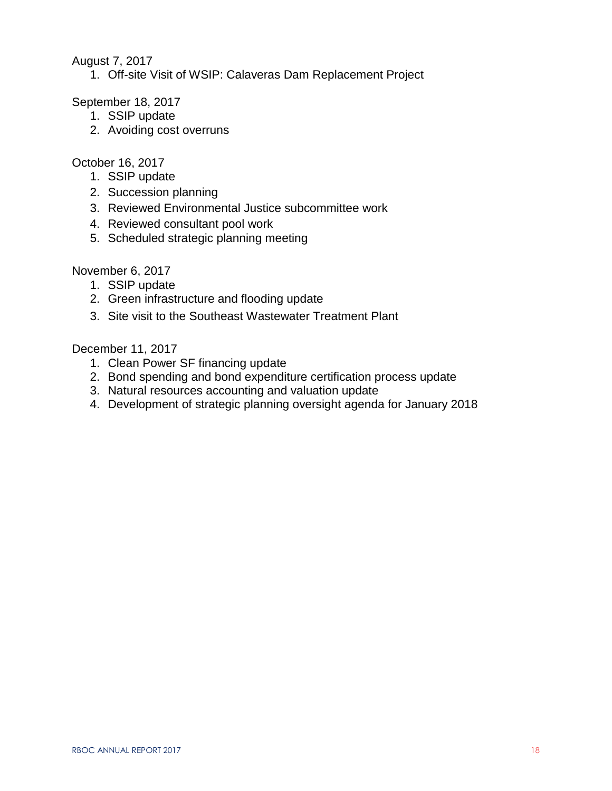August 7, 2017

1. Off-site Visit of WSIP: Calaveras Dam Replacement Project

September 18, 2017

- 1. SSIP update
- 2. Avoiding cost overruns

### October 16, 2017

- 1. SSIP update
- 2. Succession planning
- 3. Reviewed Environmental Justice subcommittee work
- 4. Reviewed consultant pool work
- 5. Scheduled strategic planning meeting

November 6, 2017

- 1. SSIP update
- 2. Green infrastructure and flooding update
- 3. Site visit to the Southeast Wastewater Treatment Plant

December 11, 2017

- 1. Clean Power SF financing update
- 2. Bond spending and bond expenditure certification process update
- 3. Natural resources accounting and valuation update
- 4. Development of strategic planning oversight agenda for January 2018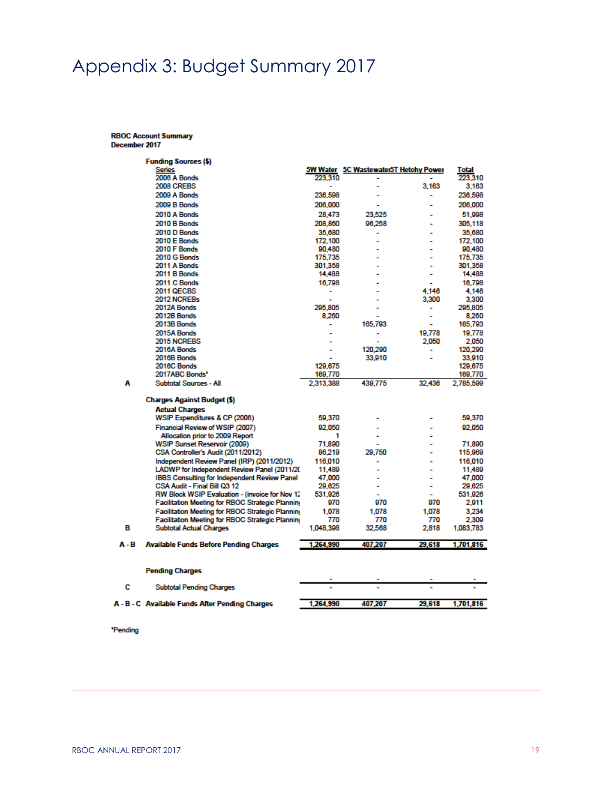# Appendix 3: Budget Summary 2017

**RBOC Account Summary** December 2017

|       | <b>Funding Sources (\$)</b>                             |           |                                       |                          |           |
|-------|---------------------------------------------------------|-----------|---------------------------------------|--------------------------|-----------|
|       | Series                                                  |           | 5W Water 5C Wastewater5T Hetchy Power |                          | Total     |
|       | 2006 A Bonds                                            | 223,310   |                                       |                          | 223,310   |
|       | <b>2008 CREBS</b>                                       |           | $\overline{a}$                        | 3.163                    | 3,163     |
|       | <b>2009 A Bonds</b>                                     | 236,598   |                                       | ٠                        | 236,598   |
|       | <b>2009 B Bonds</b>                                     | 206,000   | $\overline{a}$                        |                          | 206,000   |
|       | 2010 A Bonds                                            | 28,473    | 23.525                                |                          | 51,998    |
|       | 2010 B Bonds                                            | 208,860   | 96,258                                |                          | 305,118   |
|       | 2010 D Bonds                                            | 35,680    | ٠                                     | ٠                        | 35,680    |
|       | <b>2010 E Bonds</b>                                     | 172,100   | $\overline{a}$                        |                          | 172,100   |
|       | 2010 F Bonds                                            | 90.480    |                                       |                          | 90,480    |
|       | 2010 G Bonds                                            | 175,735   |                                       | $\overline{a}$           | 175,735   |
|       | 2011 A Bonds                                            | 301,358   |                                       |                          | 301,358   |
|       | 2011 B Bonds                                            | 14,488    | ٠                                     | $\overline{\phantom{0}}$ | 14,488    |
|       | 2011 C Bonds                                            | 16,798    |                                       | ٠                        | 16,798    |
|       | <b>2011 QECBS</b>                                       | ۰         |                                       | 4.146                    | 4.146     |
|       | <b>2012 NCREBs</b>                                      | ۰         |                                       | 3,300                    | 3,300     |
|       | 2012A Bonds                                             | 295,805   |                                       |                          | 295,805   |
|       | 2012B Bonds                                             | 8,260     |                                       | ٠                        | 8,260     |
|       | 2013B Bonds                                             | ۰         | 165,793                               | ۰                        | 165,793   |
|       | 2015A Bonds                                             |           |                                       | 19,778                   | 19.778    |
|       | <b>2015 NCREBS</b>                                      |           | ٠                                     | 2,050                    | 2,050     |
|       | 2016A Bonds                                             |           | 120,290                               |                          | 120,290   |
|       | 2016B Bonds                                             |           | 33,910                                | ÷                        | 33,910    |
|       | 2016C Bonds                                             | 129,675   |                                       |                          | 129,675   |
|       | 2017ABC Bonds*                                          | 169,770   |                                       |                          | 169,770   |
| A     | Subtotal Sources - All                                  | 2,313,388 | 439,775                               | 32,436                   | 2,785,599 |
|       |                                                         |           |                                       |                          |           |
|       | <b>Charges Against Budget (\$)</b>                      |           |                                       |                          |           |
|       | <b>Actual Charges</b>                                   |           |                                       |                          |           |
|       | WSIP Expenditures & CP (2006)                           | 59,370    |                                       |                          | 59,370    |
|       | Financial Review of WSIP (2007)                         | 92,050    |                                       |                          | 92,050    |
|       | Allocation prior to 2009 Report                         | 1         | ٠                                     |                          |           |
|       | WSIP Sunset Reservoir (2009)                            | 71,890    |                                       |                          | 71,890    |
|       | CSA Controller's Audit (2011/2012)                      | 86,219    | 29,750                                |                          | 115,969   |
|       | Independent Review Panel (IRP) (2011/2012)              | 116,010   | ٠                                     | ٠                        | 116,010   |
|       | LADWP for Independent Review Panel (2011/20)            | 11,489    |                                       |                          | 11,489    |
|       | IBBS Consulting for Independent Review Panel            | 47,000    |                                       | ٠                        | 47,000    |
|       | CSA Audit - Final Bill Q3 12                            | 29,625    | ÷,                                    | ۰                        | 29,625    |
|       | RW Block WSIP Evaluation - (invoice for Nov 12          | 531,926   |                                       |                          | 531,926   |
|       | Facilitation Meeting for RBOC Strategic Planning        | 970       | 970                                   | 970                      | 2,911     |
|       | <b>Facilitation Meeting for RBOC Strategic Planning</b> | 1,078     | 1,078                                 | 1.078                    | 3,234     |
|       | <b>Facilitation Meeting for RBOC Strategic Planning</b> | 770       | 770                                   | 770                      | 2,309     |
| в     | <b>Subtotal Actual Charges</b>                          | 1,048,398 | 32,568                                | 2,818                    | 1,083,783 |
|       |                                                         |           |                                       |                          |           |
| А - В | <b>Available Funds Before Pending Charges</b>           | 1,264,990 | 407,207                               | 29,618                   | 1,701,816 |
|       |                                                         |           |                                       |                          |           |
|       | <b>Pending Charges</b>                                  |           |                                       |                          |           |
| c     | <b>Subtotal Pending Charges</b>                         |           |                                       |                          |           |
|       | A - B - C Available Funds After Pending Charges         | 1,264,990 | 407,207                               | 29,618                   | 1.701.816 |
|       |                                                         |           |                                       |                          |           |

"Pending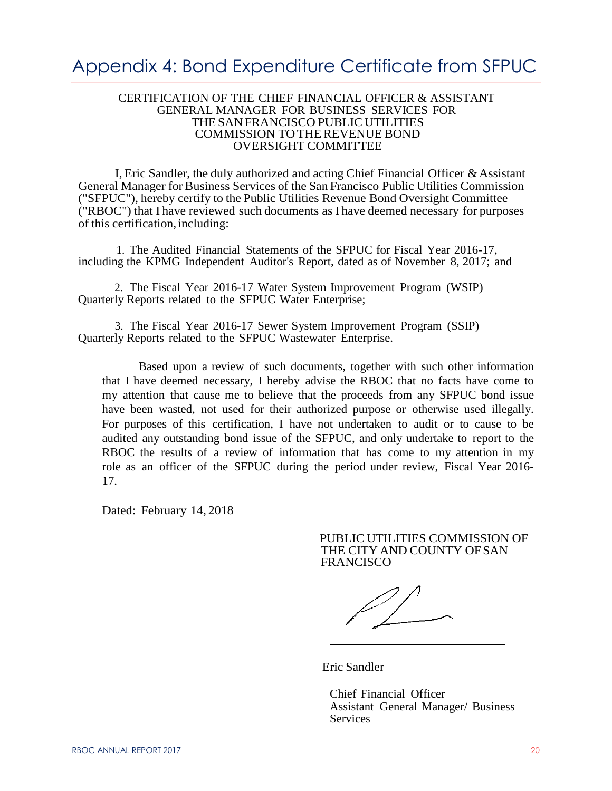### Appendix 4: Bond Expenditure Certificate from SFPUC

#### CERTIFICATION OF THE CHIEF FINANCIAL OFFICER & ASSISTANT GENERAL MANAGER FOR BUSINESS SERVICES FOR THE SANFRANCISCO PUBLIC UTILITIES COMMISSION TO THEREVENUE BOND OVERSIGHT COMMITTEE

I, Eric Sandler, the duly authorized and acting Chief Financial Officer  $\&$  Assistant General Manager for Business Services of the San Francisco Public Utilities Commission ("SFPUC"), hereby certify to the Public Utilities Revenue Bond Oversight Committee ("RBOC") that I have reviewed such documents as I have deemed necessary for purposes of this certification,including:

1. The Audited Financial Statements of the SFPUC for Fiscal Year 2016-17, including the KPMG Independent Auditor's Report, dated as of November 8, 2017; and

2. The Fiscal Year 2016-17 Water System Improvement Program (WSIP) Quarterly Reports related to the SFPUC Water Enterprise;

3. The Fiscal Year 2016-17 Sewer System Improvement Program (SSIP) Quarterly Reports related to the SFPUC Wastewater Enterprise.

Based upon a review of such documents, together with such other information that I have deemed necessary, I hereby advise the RBOC that no facts have come to my attention that cause me to believe that the proceeds from any SFPUC bond issue have been wasted, not used for their authorized purpose or otherwise used illegally. For purposes of this certification, I have not undertaken to audit or to cause to be audited any outstanding bond issue of the SFPUC, and only undertake to report to the RBOC the results of a review of information that has come to my attention in my role as an officer of the SFPUC during the period under review, Fiscal Year 2016- 17.

Dated: February 14, 2018

PUBLIC UTILITIES COMMISSION OF THE CITY AND COUNTY OF SAN FRANCISCO

Eric Sandler

Chief Financial Officer Assistant General Manager/ Business Services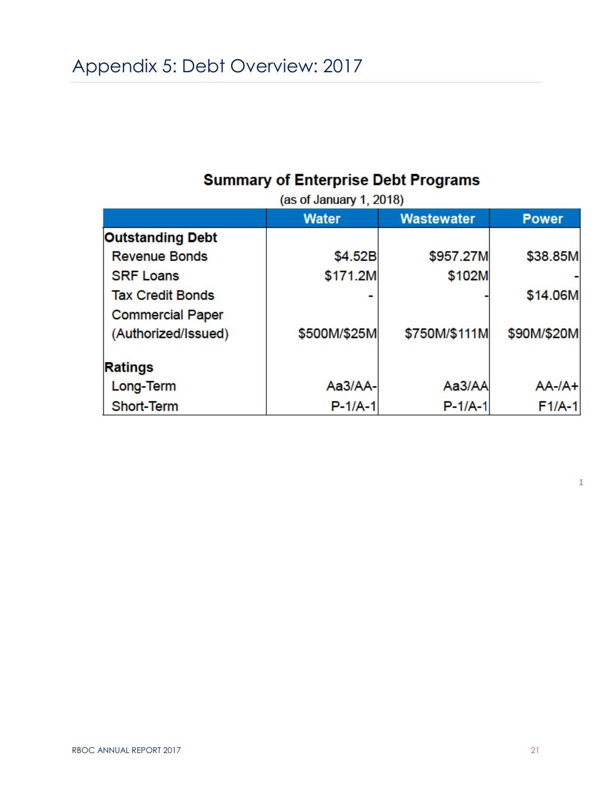### **Summary of Enterprise Debt Programs**

| (as of January 1, 2010) |              |                   |                   |  |
|-------------------------|--------------|-------------------|-------------------|--|
|                         | <b>Water</b> | <b>Wastewater</b> | <b>Power</b>      |  |
| <b>Outstanding Debt</b> |              |                   |                   |  |
| <b>Revenue Bonds</b>    | \$4.52B      | \$957.27M         | \$38.85M          |  |
| <b>SRF Loans</b>        | \$171.2M     | \$102M            |                   |  |
| <b>Tax Credit Bonds</b> |              |                   | \$14.06M          |  |
| <b>Commercial Paper</b> |              |                   |                   |  |
| (Authorized/Issued)     | \$500M/\$25M | \$750M/\$111M     | \$90M/\$20M       |  |
| <b>Ratings</b>          |              |                   |                   |  |
| Long-Term               | Aa3/AA-      | Aa3/AA            | $AA$ -/A+ $\vert$ |  |
| <b>Short-Term</b>       | $P-1/A-1$    | $P-1/A-1$         | $F1/A-1$          |  |

 $(a \cdot c \cdot f \mid a \cdot b \mid a \cdot c \cdot f)$